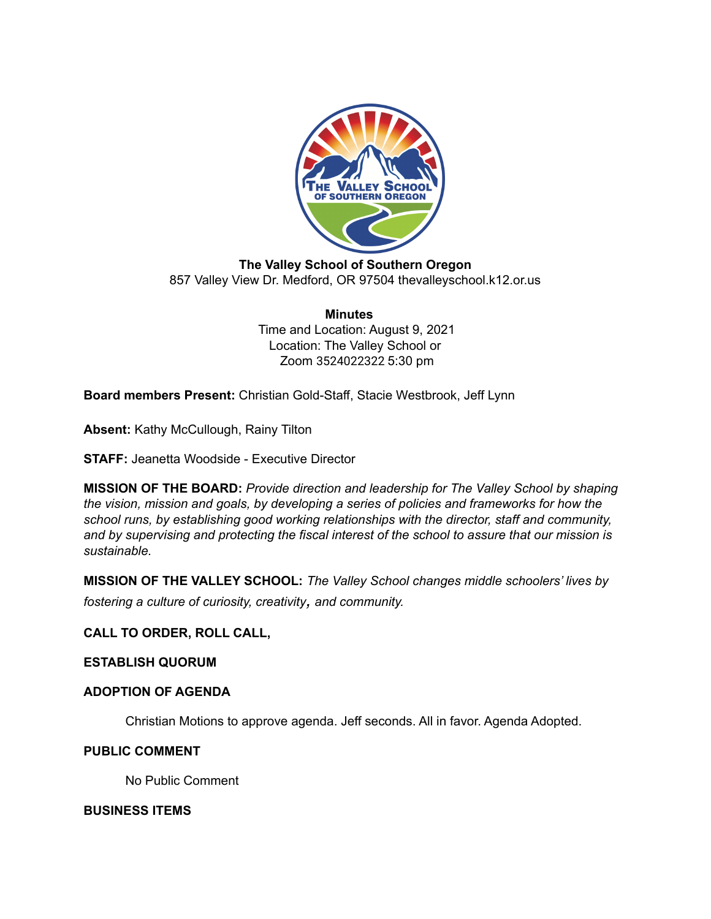

**The Valley School of Southern Oregon** 857 Valley View Dr. Medford, OR 97504 thevalleyschool.k12.or.us

> **Minutes** Time and Location: August 9, 2021 Location: The Valley School or Zoom 3524022322 5:30 pm

**Board members Present:** Christian Gold-Staff, Stacie Westbrook, Jeff Lynn

**Absent:** Kathy McCullough, Rainy Tilton

**STAFF:** Jeanetta Woodside - Executive Director

**MISSION OF THE BOARD:** *Provide direction and leadership for The Valley School by shaping the vision, mission and goals, by developing a series of policies and frameworks for how the school runs, by establishing good working relationships with the director, staff and community, and by supervising and protecting the fiscal interest of the school to assure that our mission is sustainable.*

**MISSION OF THE VALLEY SCHOOL:** *The Valley School changes middle schoolers' lives by fostering <sup>a</sup> culture of curiosity, creativity, and community.*

## **CALL TO ORDER, ROLL CALL,**

#### **ESTABLISH QUORUM**

### **ADOPTION OF AGENDA**

Christian Motions to approve agenda. Jeff seconds. All in favor. Agenda Adopted.

#### **PUBLIC COMMENT**

No Public Comment

#### **BUSINESS ITEMS**